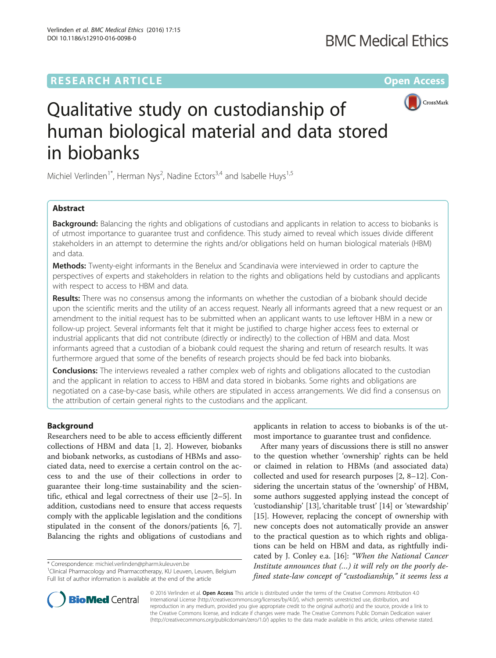## **RESEARCH ARTICLE Example 2014 12:30 The Contract of Contract ACCESS**



# Qualitative study on custodianship of human biological material and data stored in biobanks

Michiel Verlinden<sup>1\*</sup>, Herman Nys<sup>2</sup>, Nadine Ectors<sup>3,4</sup> and Isabelle Huys<sup>1,5</sup>

## Abstract

**Background:** Balancing the rights and obligations of custodians and applicants in relation to access to biobanks is of utmost importance to guarantee trust and confidence. This study aimed to reveal which issues divide different stakeholders in an attempt to determine the rights and/or obligations held on human biological materials (HBM) and data.

Methods: Twenty-eight informants in the Benelux and Scandinavia were interviewed in order to capture the perspectives of experts and stakeholders in relation to the rights and obligations held by custodians and applicants with respect to access to HBM and data.

Results: There was no consensus among the informants on whether the custodian of a biobank should decide upon the scientific merits and the utility of an access request. Nearly all informants agreed that a new request or an amendment to the initial request has to be submitted when an applicant wants to use leftover HBM in a new or follow-up project. Several informants felt that it might be justified to charge higher access fees to external or industrial applicants that did not contribute (directly or indirectly) to the collection of HBM and data. Most informants agreed that a custodian of a biobank could request the sharing and return of research results. It was furthermore argued that some of the benefits of research projects should be fed back into biobanks.

**Conclusions:** The interviews revealed a rather complex web of rights and obligations allocated to the custodian and the applicant in relation to access to HBM and data stored in biobanks. Some rights and obligations are negotiated on a case-by-case basis, while others are stipulated in access arrangements. We did find a consensus on the attribution of certain general rights to the custodians and the applicant.

## Background

Researchers need to be able to access efficiently different collections of HBM and data [\[1](#page-9-0), [2\]](#page-9-0). However, biobanks and biobank networks, as custodians of HBMs and associated data, need to exercise a certain control on the access to and the use of their collections in order to guarantee their long-time sustainability and the scientific, ethical and legal correctness of their use [[2](#page-9-0)–[5\]](#page-9-0). In addition, custodians need to ensure that access requests comply with the applicable legislation and the conditions stipulated in the consent of the donors/patients [[6, 7](#page-9-0)]. Balancing the rights and obligations of custodians and

\* Correspondence: [michiel.verlinden@pharm.kuleuven.be](mailto:michiel.verlinden@pharm.kuleuven.be) <sup>1</sup>

applicants in relation to access to biobanks is of the utmost importance to guarantee trust and confidence.

After many years of discussions there is still no answer to the question whether 'ownership' rights can be held or claimed in relation to HBMs (and associated data) collected and used for research purposes [[2, 8](#page-9-0)–[12](#page-9-0)]. Considering the uncertain status of the 'ownership' of HBM, some authors suggested applying instead the concept of 'custodianship' [\[13](#page-9-0)], 'charitable trust' [[14\]](#page-9-0) or 'stewardship' [[15\]](#page-9-0). However, replacing the concept of ownership with new concepts does not automatically provide an answer to the practical question as to which rights and obligations can be held on HBM and data, as rightfully indicated by J. Conley e.a. [[16\]](#page-9-0): "When the National Cancer Institute announces that (…) it will rely on the poorly defined state-law concept of "custodianship," it seems less a



© 2016 Verlinden et al. Open Access This article is distributed under the terms of the Creative Commons Attribution 4.0 International License [\(http://creativecommons.org/licenses/by/4.0/](http://creativecommons.org/licenses/by/4.0/)), which permits unrestricted use, distribution, and reproduction in any medium, provided you give appropriate credit to the original author(s) and the source, provide a link to the Creative Commons license, and indicate if changes were made. The Creative Commons Public Domain Dedication waiver [\(http://creativecommons.org/publicdomain/zero/1.0/](http://creativecommons.org/publicdomain/zero/1.0/)) applies to the data made available in this article, unless otherwise stated.

<sup>&</sup>lt;sup>1</sup>Clinical Pharmacology and Pharmacotherapy, KU Leuven, Leuven, Belgium Full list of author information is available at the end of the article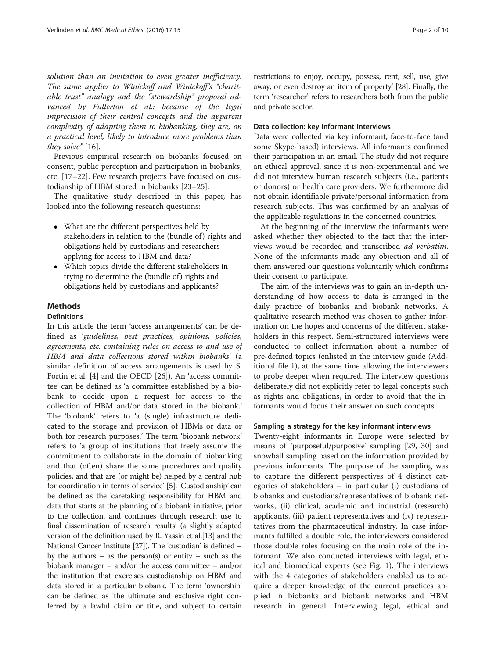solution than an invitation to even greater inefficiency. The same applies to Winickoff and Winickoff's "charitable trust" analogy and the "stewardship" proposal advanced by Fullerton et al.: because of the legal imprecision of their central concepts and the apparent complexity of adapting them to biobanking, they are, on a practical level, likely to introduce more problems than they solve" [\[16](#page-9-0)].

Previous empirical research on biobanks focused on consent, public perception and participation in biobanks, etc. [\[17](#page-9-0)–[22\]](#page-9-0). Few research projects have focused on custodianship of HBM stored in biobanks [[23](#page-9-0)–[25](#page-9-0)].

The qualitative study described in this paper, has looked into the following research questions:

- What are the different perspectives held by stakeholders in relation to the (bundle of) rights and obligations held by custodians and researchers applying for access to HBM and data?
- Which topics divide the different stakeholders in trying to determine the (bundle of) rights and obligations held by custodians and applicants?

## **Methods**

#### **Definitions**

In this article the term 'access arrangements' can be defined as 'guidelines, best practices, opinions, policies, agreements, etc. containing rules on access to and use of HBM and data collections stored within biobanks' (a similar definition of access arrangements is used by S. Fortin et al. [[4\]](#page-9-0) and the OECD [[26\]](#page-9-0)). An 'access committee' can be defined as 'a committee established by a biobank to decide upon a request for access to the collection of HBM and/or data stored in the biobank.' The 'biobank' refers to 'a (single) infrastructure dedicated to the storage and provision of HBMs or data or both for research purposes.' The term 'biobank network' refers to 'a group of institutions that freely assume the commitment to collaborate in the domain of biobanking and that (often) share the same procedures and quality policies, and that are (or might be) helped by a central hub for coordination in terms of service' [\[5\]](#page-9-0). 'Custodianship' can be defined as the 'caretaking responsibility for HBM and data that starts at the planning of a biobank initiative, prior to the collection, and continues through research use to final dissemination of research results' (a slightly adapted version of the definition used by R. Yassin et al.[\[13](#page-9-0)] and the National Cancer Institute [\[27\]](#page-9-0)). The 'custodian' is defined – by the authors – as the person(s) or entity – such as the biobank manager – and/or the access committee – and/or the institution that exercises custodianship on HBM and data stored in a particular biobank. The term 'ownership' can be defined as 'the ultimate and exclusive right conferred by a lawful claim or title, and subject to certain

restrictions to enjoy, occupy, possess, rent, sell, use, give away, or even destroy an item of property' [\[28](#page-9-0)]. Finally, the term 'researcher' refers to researchers both from the public and private sector.

#### Data collection: key informant interviews

Data were collected via key informant, face-to-face (and some Skype-based) interviews. All informants confirmed their participation in an email. The study did not require an ethical approval, since it is non-experimental and we did not interview human research subjects (i.e., patients or donors) or health care providers. We furthermore did not obtain identifiable private/personal information from research subjects. This was confirmed by an analysis of the applicable regulations in the concerned countries.

At the beginning of the interview the informants were asked whether they objected to the fact that the interviews would be recorded and transcribed ad verbatim. None of the informants made any objection and all of them answered our questions voluntarily which confirms their consent to participate.

The aim of the interviews was to gain an in-depth understanding of how access to data is arranged in the daily practice of biobanks and biobank networks. A qualitative research method was chosen to gather information on the hopes and concerns of the different stakeholders in this respect. Semi-structured interviews were conducted to collect information about a number of pre-defined topics (enlisted in the interview guide (Additional file [1](#page-8-0)), at the same time allowing the interviewers to probe deeper when required. The interview questions deliberately did not explicitly refer to legal concepts such as rights and obligations, in order to avoid that the informants would focus their answer on such concepts.

### Sampling a strategy for the key informant interviews

Twenty-eight informants in Europe were selected by means of 'purposeful/purposive' sampling [\[29, 30\]](#page-9-0) and snowball sampling based on the information provided by previous informants. The purpose of the sampling was to capture the different perspectives of 4 distinct categories of stakeholders – in particular (i) custodians of biobanks and custodians/representatives of biobank networks, (ii) clinical, academic and industrial (research) applicants, (iii) patient representatives and (iv) representatives from the pharmaceutical industry. In case informants fulfilled a double role, the interviewers considered those double roles focusing on the main role of the informant. We also conducted interviews with legal, ethical and biomedical experts (see Fig. [1](#page-2-0)). The interviews with the 4 categories of stakeholders enabled us to acquire a deeper knowledge of the current practices applied in biobanks and biobank networks and HBM research in general. Interviewing legal, ethical and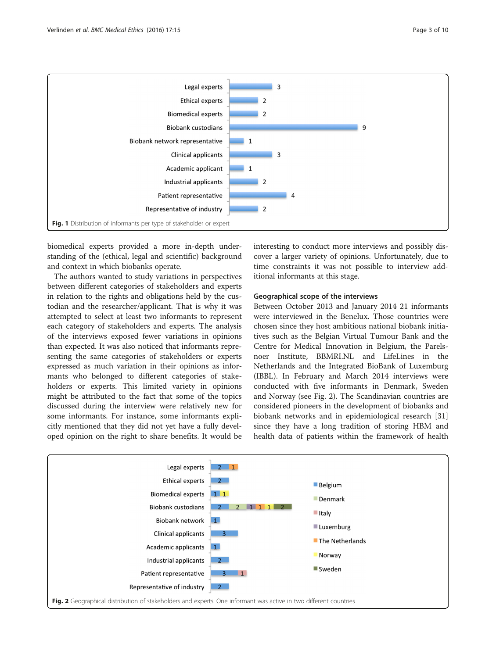<span id="page-2-0"></span>

biomedical experts provided a more in-depth understanding of the (ethical, legal and scientific) background and context in which biobanks operate.

The authors wanted to study variations in perspectives between different categories of stakeholders and experts in relation to the rights and obligations held by the custodian and the researcher/applicant. That is why it was attempted to select at least two informants to represent each category of stakeholders and experts. The analysis of the interviews exposed fewer variations in opinions than expected. It was also noticed that informants representing the same categories of stakeholders or experts expressed as much variation in their opinions as informants who belonged to different categories of stakeholders or experts. This limited variety in opinions might be attributed to the fact that some of the topics discussed during the interview were relatively new for some informants. For instance, some informants explicitly mentioned that they did not yet have a fully developed opinion on the right to share benefits. It would be interesting to conduct more interviews and possibly discover a larger variety of opinions. Unfortunately, due to time constraints it was not possible to interview additional informants at this stage.

#### Geographical scope of the interviews

Between October 2013 and January 2014 21 informants were interviewed in the Benelux. Those countries were chosen since they host ambitious national biobank initiatives such as the Belgian Virtual Tumour Bank and the Centre for Medical Innovation in Belgium, the Parelsnoer Institute, BBMRI.NL and LifeLines in the Netherlands and the Integrated BioBank of Luxemburg (IBBL). In February and March 2014 interviews were conducted with five informants in Denmark, Sweden and Norway (see Fig. 2). The Scandinavian countries are considered pioneers in the development of biobanks and biobank networks and in epidemiological research [[31](#page-9-0)] since they have a long tradition of storing HBM and health data of patients within the framework of health

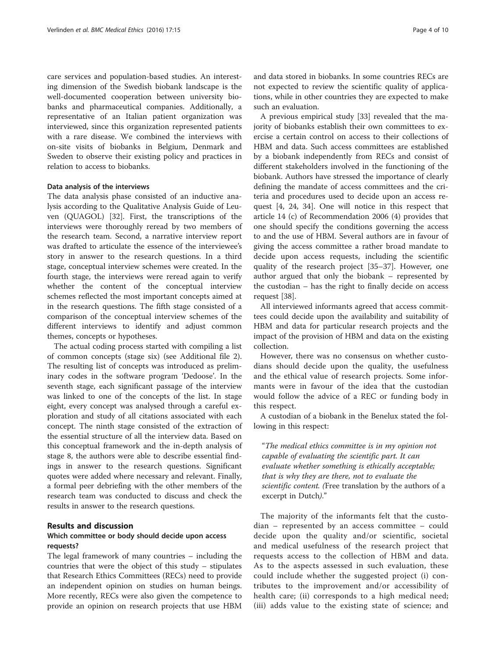care services and population-based studies. An interesting dimension of the Swedish biobank landscape is the well-documented cooperation between university biobanks and pharmaceutical companies. Additionally, a representative of an Italian patient organization was interviewed, since this organization represented patients with a rare disease. We combined the interviews with on-site visits of biobanks in Belgium, Denmark and Sweden to observe their existing policy and practices in relation to access to biobanks.

#### Data analysis of the interviews

The data analysis phase consisted of an inductive analysis according to the Qualitative Analysis Guide of Leuven (QUAGOL) [[32](#page-9-0)]. First, the transcriptions of the interviews were thoroughly reread by two members of the research team. Second, a narrative interview report was drafted to articulate the essence of the interviewee's story in answer to the research questions. In a third stage, conceptual interview schemes were created. In the fourth stage, the interviews were reread again to verify whether the content of the conceptual interview schemes reflected the most important concepts aimed at in the research questions. The fifth stage consisted of a comparison of the conceptual interview schemes of the different interviews to identify and adjust common themes, concepts or hypotheses.

The actual coding process started with compiling a list of common concepts (stage six) (see Additional file [2](#page-8-0)). The resulting list of concepts was introduced as preliminary codes in the software program 'Dedoose'. In the seventh stage, each significant passage of the interview was linked to one of the concepts of the list. In stage eight, every concept was analysed through a careful exploration and study of all citations associated with each concept. The ninth stage consisted of the extraction of the essential structure of all the interview data. Based on this conceptual framework and the in-depth analysis of stage 8, the authors were able to describe essential findings in answer to the research questions. Significant quotes were added where necessary and relevant. Finally, a formal peer debriefing with the other members of the research team was conducted to discuss and check the results in answer to the research questions.

## Results and discussion

## Which committee or body should decide upon access requests?

The legal framework of many countries – including the countries that were the object of this study – stipulates that Research Ethics Committees (RECs) need to provide an independent opinion on studies on human beings. More recently, RECs were also given the competence to provide an opinion on research projects that use HBM

and data stored in biobanks. In some countries RECs are not expected to review the scientific quality of applications, while in other countries they are expected to make such an evaluation.

A previous empirical study [\[33\]](#page-9-0) revealed that the majority of biobanks establish their own committees to exercise a certain control on access to their collections of HBM and data. Such access committees are established by a biobank independently from RECs and consist of different stakeholders involved in the functioning of the biobank. Authors have stressed the importance of clearly defining the mandate of access committees and the criteria and procedures used to decide upon an access request [[4, 24, 34](#page-9-0)]. One will notice in this respect that article 14 (c) of Recommendation 2006 (4) provides that one should specify the conditions governing the access to and the use of HBM. Several authors are in favour of giving the access committee a rather broad mandate to decide upon access requests, including the scientific quality of the research project [[35](#page-9-0)–[37](#page-9-0)]. However, one author argued that only the biobank – represented by the custodian – has the right to finally decide on access request [[38\]](#page-9-0).

All interviewed informants agreed that access committees could decide upon the availability and suitability of HBM and data for particular research projects and the impact of the provision of HBM and data on the existing collection.

However, there was no consensus on whether custodians should decide upon the quality, the usefulness and the ethical value of research projects. Some informants were in favour of the idea that the custodian would follow the advice of a REC or funding body in this respect.

A custodian of a biobank in the Benelux stated the following in this respect:

"The medical ethics committee is in my opinion not capable of evaluating the scientific part. It can evaluate whether something is ethically acceptable; that is why they are there, not to evaluate the scientific content. (Free translation by the authors of a excerpt in Dutch)."

The majority of the informants felt that the custodian – represented by an access committee – could decide upon the quality and/or scientific, societal and medical usefulness of the research project that requests access to the collection of HBM and data. As to the aspects assessed in such evaluation, these could include whether the suggested project (i) contributes to the improvement and/or accessibility of health care; (ii) corresponds to a high medical need; (iii) adds value to the existing state of science; and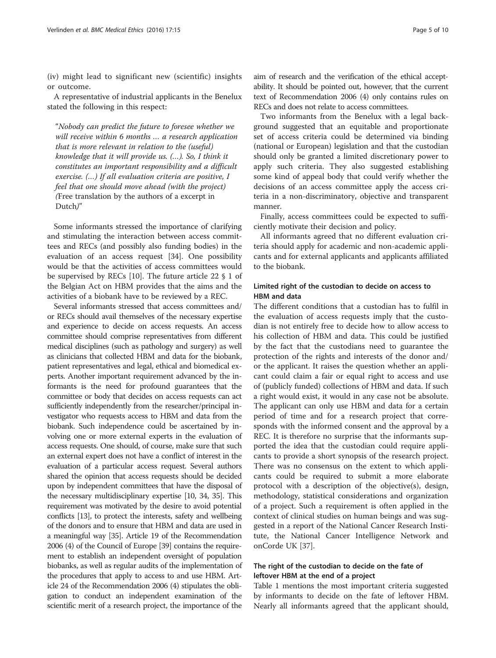(iv) might lead to significant new (scientific) insights or outcome.

A representative of industrial applicants in the Benelux stated the following in this respect:

"Nobody can predict the future to foresee whether we will receive within 6 months … a research application that is more relevant in relation to the (useful) knowledge that it will provide us. (…). So, I think it constitutes an important responsibility and a difficult exercise. (…) If all evaluation criteria are positive, I feel that one should move ahead (with the project) (Free translation by the authors of a excerpt in Dutch)"

Some informants stressed the importance of clarifying and stimulating the interaction between access committees and RECs (and possibly also funding bodies) in the evaluation of an access request [\[34\]](#page-9-0). One possibility would be that the activities of access committees would be supervised by RECs [[10\]](#page-9-0). The future article 22 § 1 of the Belgian Act on HBM provides that the aims and the activities of a biobank have to be reviewed by a REC.

Several informants stressed that access committees and/ or RECs should avail themselves of the necessary expertise and experience to decide on access requests. An access committee should comprise representatives from different medical disciplines (such as pathology and surgery) as well as clinicians that collected HBM and data for the biobank, patient representatives and legal, ethical and biomedical experts. Another important requirement advanced by the informants is the need for profound guarantees that the committee or body that decides on access requests can act sufficiently independently from the researcher/principal investigator who requests access to HBM and data from the biobank. Such independence could be ascertained by involving one or more external experts in the evaluation of access requests. One should, of course, make sure that such an external expert does not have a conflict of interest in the evaluation of a particular access request. Several authors shared the opinion that access requests should be decided upon by independent committees that have the disposal of the necessary multidisciplinary expertise [\[10, 34](#page-9-0), [35](#page-9-0)]. This requirement was motivated by the desire to avoid potential conflicts [[13](#page-9-0)], to protect the interests, safety and wellbeing of the donors and to ensure that HBM and data are used in a meaningful way [\[35\]](#page-9-0). Article 19 of the Recommendation 2006 (4) of the Council of Europe [[39](#page-9-0)] contains the requirement to establish an independent oversight of population biobanks, as well as regular audits of the implementation of the procedures that apply to access to and use HBM. Article 24 of the Recommendation 2006 (4) stipulates the obligation to conduct an independent examination of the scientific merit of a research project, the importance of the

Two informants from the Benelux with a legal background suggested that an equitable and proportionate set of access criteria could be determined via binding (national or European) legislation and that the custodian should only be granted a limited discretionary power to apply such criteria. They also suggested establishing some kind of appeal body that could verify whether the decisions of an access committee apply the access criteria in a non-discriminatory, objective and transparent manner.

Finally, access committees could be expected to sufficiently motivate their decision and policy.

All informants agreed that no different evaluation criteria should apply for academic and non-academic applicants and for external applicants and applicants affiliated to the biobank.

## Limited right of the custodian to decide on access to HBM and data

The different conditions that a custodian has to fulfil in the evaluation of access requests imply that the custodian is not entirely free to decide how to allow access to his collection of HBM and data. This could be justified by the fact that the custodians need to guarantee the protection of the rights and interests of the donor and/ or the applicant. It raises the question whether an applicant could claim a fair or equal right to access and use of (publicly funded) collections of HBM and data. If such a right would exist, it would in any case not be absolute. The applicant can only use HBM and data for a certain period of time and for a research project that corresponds with the informed consent and the approval by a REC. It is therefore no surprise that the informants supported the idea that the custodian could require applicants to provide a short synopsis of the research project. There was no consensus on the extent to which applicants could be required to submit a more elaborate protocol with a description of the objective(s), design, methodology, statistical considerations and organization of a project. Such a requirement is often applied in the context of clinical studies on human beings and was suggested in a report of the National Cancer Research Institute, the National Cancer Intelligence Network and onCorde UK [\[37\]](#page-9-0).

## The right of the custodian to decide on the fate of leftover HBM at the end of a project

Table [1](#page-5-0) mentions the most important criteria suggested by informants to decide on the fate of leftover HBM. Nearly all informants agreed that the applicant should,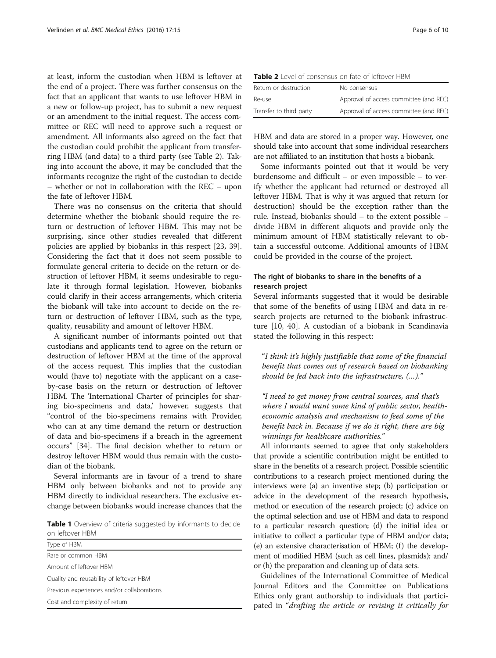<span id="page-5-0"></span>at least, inform the custodian when HBM is leftover at the end of a project. There was further consensus on the fact that an applicant that wants to use leftover HBM in a new or follow-up project, has to submit a new request or an amendment to the initial request. The access committee or REC will need to approve such a request or amendment. All informants also agreed on the fact that the custodian could prohibit the applicant from transferring HBM (and data) to a third party (see Table 2). Taking into account the above, it may be concluded that the informants recognize the right of the custodian to decide – whether or not in collaboration with the REC – upon the fate of leftover HBM.

There was no consensus on the criteria that should determine whether the biobank should require the return or destruction of leftover HBM. This may not be surprising, since other studies revealed that different policies are applied by biobanks in this respect [[23, 39](#page-9-0)]. Considering the fact that it does not seem possible to formulate general criteria to decide on the return or destruction of leftover HBM, it seems undesirable to regulate it through formal legislation. However, biobanks could clarify in their access arrangements, which criteria the biobank will take into account to decide on the return or destruction of leftover HBM, such as the type, quality, reusability and amount of leftover HBM.

A significant number of informants pointed out that custodians and applicants tend to agree on the return or destruction of leftover HBM at the time of the approval of the access request. This implies that the custodian would (have to) negotiate with the applicant on a caseby-case basis on the return or destruction of leftover HBM. The 'International Charter of principles for sharing bio-specimens and data,' however, suggests that "control of the bio-specimens remains with Provider, who can at any time demand the return or destruction of data and bio-specimens if a breach in the agreement occurs" [\[34](#page-9-0)]. The final decision whether to return or destroy leftover HBM would thus remain with the custodian of the biobank.

Several informants are in favour of a trend to share HBM only between biobanks and not to provide any HBM directly to individual researchers. The exclusive exchange between biobanks would increase chances that the

Table 1 Overview of criteria suggested by informants to decide on leftover HBM

| Type of HBM                                |
|--------------------------------------------|
| Rare or common HBM                         |
| Amount of leftover HBM                     |
| Quality and reusability of leftover HBM    |
| Previous experiences and/or collaborations |
| Cost and complexity of return              |

| Table 2 Level of consensus on fate of leftover HBM |  |
|----------------------------------------------------|--|
|----------------------------------------------------|--|

| Return or destruction   | No consensus                           |
|-------------------------|----------------------------------------|
| Re-use                  | Approval of access committee (and REC) |
| Transfer to third party | Approval of access committee (and REC) |

HBM and data are stored in a proper way. However, one should take into account that some individual researchers are not affiliated to an institution that hosts a biobank.

Some informants pointed out that it would be very burdensome and difficult – or even impossible – to verify whether the applicant had returned or destroyed all leftover HBM. That is why it was argued that return (or destruction) should be the exception rather than the rule. Instead, biobanks should – to the extent possible – divide HBM in different aliquots and provide only the minimum amount of HBM statistically relevant to obtain a successful outcome. Additional amounts of HBM could be provided in the course of the project.

## The right of biobanks to share in the benefits of a research project

Several informants suggested that it would be desirable that some of the benefits of using HBM and data in research projects are returned to the biobank infrastructure [[10, 40\]](#page-9-0). A custodian of a biobank in Scandinavia stated the following in this respect:

"I think it's highly justifiable that some of the financial benefit that comes out of research based on biobanking should be fed back into the infrastructure, (…)."

"I need to get money from central sources, and that's where I would want some kind of public sector, healtheconomic analysis and mechanism to feed some of the benefit back in. Because if we do it right, there are big winnings for healthcare authorities."

All informants seemed to agree that only stakeholders that provide a scientific contribution might be entitled to share in the benefits of a research project. Possible scientific contributions to a research project mentioned during the interviews were (a) an inventive step; (b) participation or advice in the development of the research hypothesis, method or execution of the research project; (c) advice on the optimal selection and use of HBM and data to respond to a particular research question; (d) the initial idea or initiative to collect a particular type of HBM and/or data;  $(e)$  an extensive characterisation of HBM;  $(f)$  the development of modified HBM (such as cell lines, plasmids); and/ or (h) the preparation and cleaning up of data sets.

Guidelines of the International Committee of Medical Journal Editors and the Committee on Publications Ethics only grant authorship to individuals that participated in "drafting the article or revising it critically for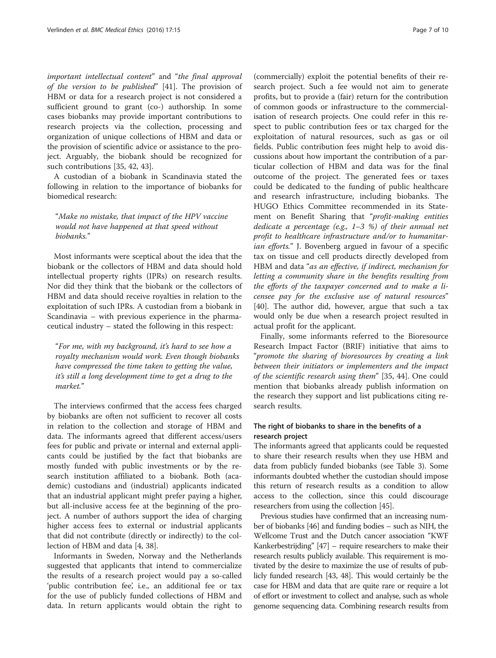important intellectual content" and "the final approval of the version to be published" [\[41\]](#page-9-0). The provision of HBM or data for a research project is not considered a sufficient ground to grant (co-) authorship. In some cases biobanks may provide important contributions to research projects via the collection, processing and organization of unique collections of HBM and data or the provision of scientific advice or assistance to the project. Arguably, the biobank should be recognized for such contributions [\[35](#page-9-0), [42](#page-9-0), [43\]](#page-9-0).

A custodian of a biobank in Scandinavia stated the following in relation to the importance of biobanks for biomedical research:

## "Make no mistake, that impact of the HPV vaccine would not have happened at that speed without biobanks."

Most informants were sceptical about the idea that the biobank or the collectors of HBM and data should hold intellectual property rights (IPRs) on research results. Nor did they think that the biobank or the collectors of HBM and data should receive royalties in relation to the exploitation of such IPRs. A custodian from a biobank in Scandinavia – with previous experience in the pharmaceutical industry – stated the following in this respect:

"For me, with my background, it's hard to see how a royalty mechanism would work. Even though biobanks have compressed the time taken to getting the value, it's still a long development time to get a drug to the market."

The interviews confirmed that the access fees charged by biobanks are often not sufficient to recover all costs in relation to the collection and storage of HBM and data. The informants agreed that different access/users fees for public and private or internal and external applicants could be justified by the fact that biobanks are mostly funded with public investments or by the research institution affiliated to a biobank. Both (academic) custodians and (industrial) applicants indicated that an industrial applicant might prefer paying a higher, but all-inclusive access fee at the beginning of the project. A number of authors support the idea of charging higher access fees to external or industrial applicants that did not contribute (directly or indirectly) to the collection of HBM and data [[4, 38\]](#page-9-0).

Informants in Sweden, Norway and the Netherlands suggested that applicants that intend to commercialize the results of a research project would pay a so-called 'public contribution fee', i.e., an additional fee or tax for the use of publicly funded collections of HBM and data. In return applicants would obtain the right to

(commercially) exploit the potential benefits of their research project. Such a fee would not aim to generate profits, but to provide a (fair) return for the contribution of common goods or infrastructure to the commercialisation of research projects. One could refer in this respect to public contribution fees or tax charged for the exploitation of natural resources, such as gas or oil fields. Public contribution fees might help to avoid discussions about how important the contribution of a particular collection of HBM and data was for the final outcome of the project. The generated fees or taxes could be dedicated to the funding of public healthcare and research infrastructure, including biobanks. The HUGO Ethics Committee recommended in its Statement on Benefit Sharing that "profit-making entities dedicate a percentage (e.g., 1–3 %) of their annual net profit to healthcare infrastructure and/or to humanitarian efforts." J. Bovenberg argued in favour of a specific tax on tissue and cell products directly developed from HBM and data "as an effective, if indirect, mechanism for letting a community share in the benefits resulting from the efforts of the taxpayer concerned and to make a licensee pay for the exclusive use of natural resources" [[40\]](#page-9-0). The author did, however, argue that such a tax would only be due when a research project resulted in actual profit for the applicant.

Finally, some informants referred to the Bioresource Research Impact Factor (BRIF) initiative that aims to "promote the sharing of bioresources by creating a link between their initiators or implementers and the impact of the scientific research using them" [\[35](#page-9-0), [44](#page-9-0)]. One could mention that biobanks already publish information on the research they support and list publications citing research results.

## The right of biobanks to share in the benefits of a research project

The informants agreed that applicants could be requested to share their research results when they use HBM and data from publicly funded biobanks (see Table [3\)](#page-7-0). Some informants doubted whether the custodian should impose this return of research results as a condition to allow access to the collection, since this could discourage researchers from using the collection [\[45\]](#page-9-0).

Previous studies have confirmed that an increasing number of biobanks [\[46\]](#page-9-0) and funding bodies – such as NIH, the Wellcome Trust and the Dutch cancer association "KWF Kankerbestrijding" [\[47\]](#page-9-0) – require researchers to make their research results publicly available. This requirement is motivated by the desire to maximize the use of results of publicly funded research [\[43, 48\]](#page-9-0). This would certainly be the case for HBM and data that are quite rare or require a lot of effort or investment to collect and analyse, such as whole genome sequencing data. Combining research results from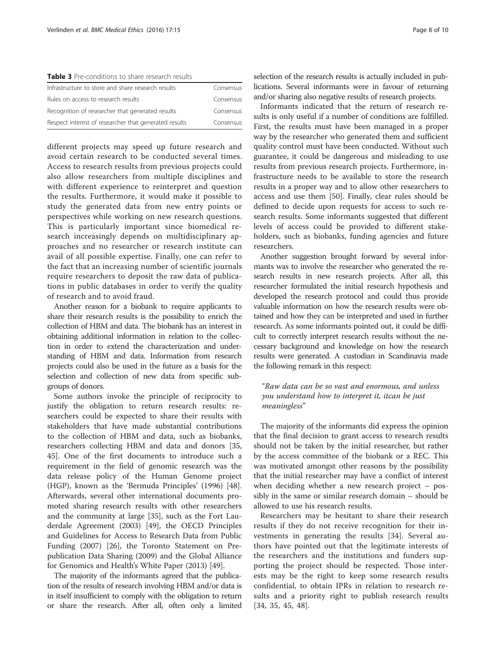<span id="page-7-0"></span>Table 3 Pre-conditions to share research results

| Infrastructure to store and share research results    | Consensus |
|-------------------------------------------------------|-----------|
| Rules on access to research results                   | Consensus |
| Recognition of researcher that generated results      | Consensus |
| Respect interest of researcher that generated results | Consensus |

different projects may speed up future research and avoid certain research to be conducted several times. Access to research results from previous projects could also allow researchers from multiple disciplines and with different experience to reinterpret and question the results. Furthermore, it would make it possible to study the generated data from new entry points or perspectives while working on new research questions. This is particularly important since biomedical research increasingly depends on multidisciplinary approaches and no researcher or research institute can avail of all possible expertise. Finally, one can refer to the fact that an increasing number of scientific journals require researchers to deposit the raw data of publications in public databases in order to verify the quality of research and to avoid fraud.

Another reason for a biobank to require applicants to share their research results is the possibility to enrich the collection of HBM and data. The biobank has an interest in obtaining additional information in relation to the collection in order to extend the characterization and understanding of HBM and data. Information from research projects could also be used in the future as a basis for the selection and collection of new data from specific subgroups of donors.

Some authors invoke the principle of reciprocity to justify the obligation to return research results: researchers could be expected to share their results with stakeholders that have made substantial contributions to the collection of HBM and data, such as biobanks, researchers collecting HBM and data and donors [[35](#page-9-0), [45\]](#page-9-0). One of the first documents to introduce such a requirement in the field of genomic research was the data release policy of the Human Genome project (HGP), known as the 'Bermuda Principles' (1996) [\[48](#page-9-0)]. Afterwards, several other international documents promoted sharing research results with other researchers and the community at large [[35](#page-9-0)], such as the Fort Lauderdale Agreement (2003) [\[49](#page-9-0)], the OECD Principles and Guidelines for Access to Research Data from Public Funding (2007) [\[26\]](#page-9-0), the Toronto Statement on Prepublication Data Sharing (2009) and the Global Alliance for Genomics and Health's White Paper (2013) [49].

The majority of the informants agreed that the publication of the results of research involving HBM and/or data is in itself insufficient to comply with the obligation to return or share the research. After all, often only a limited selection of the research results is actually included in publications. Several informants were in favour of returning and/or sharing also negative results of research projects.

Informants indicated that the return of research results is only useful if a number of conditions are fulfilled. First, the results must have been managed in a proper way by the researcher who generated them and sufficient quality control must have been conducted. Without such guarantee, it could be dangerous and misleading to use results from previous research projects. Furthermore, infrastructure needs to be available to store the research results in a proper way and to allow other researchers to access and use them [\[50](#page-9-0)]. Finally, clear rules should be defined to decide upon requests for access to such research results. Some informants suggested that different levels of access could be provided to different stakeholders, such as biobanks, funding agencies and future researchers.

Another suggestion brought forward by several informants was to involve the researcher who generated the research results in new research projects. After all, this researcher formulated the initial research hypothesis and developed the research protocol and could thus provide valuable information on how the research results were obtained and how they can be interpreted and used in further research. As some informants pointed out, it could be difficult to correctly interpret research results without the necessary background and knowledge on how the research results were generated. A custodian in Scandinavia made the following remark in this respect:

"Raw data can be so vast and enormous, and unless you understand how to interpret it, itcan be just meaningless"

The majority of the informants did express the opinion that the final decision to grant access to research results should not be taken by the initial researcher, but rather by the access committee of the biobank or a REC. This was motivated amongst other reasons by the possibility that the initial researcher may have a conflict of interest when deciding whether a new research project – possibly in the same or similar research domain – should be allowed to use his research results.

Researchers may be hesitant to share their research results if they do not receive recognition for their investments in generating the results [\[34](#page-9-0)]. Several authors have pointed out that the legitimate interests of the researchers and the institutions and funders supporting the project should be respected. Those interests may be the right to keep some research results confidential, to obtain IPRs in relation to research results and a priority right to publish research results [[34, 35](#page-9-0), [45](#page-9-0), [48](#page-9-0)].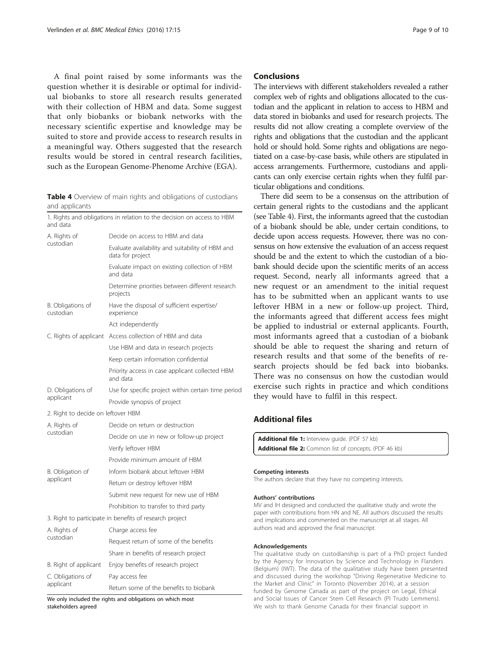<span id="page-8-0"></span>A final point raised by some informants was the question whether it is desirable or optimal for individual biobanks to store all research results generated with their collection of HBM and data. Some suggest that only biobanks or biobank networks with the necessary scientific expertise and knowledge may be suited to store and provide access to research results in a meaningful way. Others suggested that the research results would be stored in central research facilities, such as the European Genome-Phenome Archive (EGA).

Table 4 Overview of main rights and obligations of custodians and applicants

| and data                           | 1. Rights and obligations in relation to the decision on access to HBM |
|------------------------------------|------------------------------------------------------------------------|
| A. Rights of<br>custodian          | Decide on access to HBM and data                                       |
|                                    | Evaluate availability and suitability of HBM and<br>data for project   |
|                                    | Evaluate impact on existing collection of HBM<br>and data              |
|                                    | Determine priorities between different research<br>projects            |
| B. Obligations of<br>custodian     | Have the disposal of sufficient expertise/<br>experience               |
|                                    | Act independently                                                      |
| C. Rights of applicant             | Access collection of HBM and data                                      |
|                                    | Use HBM and data in research projects                                  |
|                                    | Keep certain information confidential                                  |
|                                    | Priority access in case applicant collected HBM<br>and data            |
| D. Obligations of                  | Use for specific project within certain time period                    |
| applicant                          | Provide synopsis of project                                            |
| 2. Right to decide on leftover HBM |                                                                        |
| A. Rights of<br>custodian          | Decide on return or destruction                                        |
|                                    | Decide on use in new or follow-up project                              |
|                                    | Verify leftover HBM                                                    |
|                                    | Provide minimum amount of HBM                                          |
| B. Obligation of<br>applicant      | Inform biobank about leftover HBM                                      |
|                                    | Return or destroy leftover HBM                                         |
|                                    | Submit new request for new use of HBM                                  |
|                                    | Prohibition to transfer to third party                                 |
|                                    | 3. Right to participate in benefits of research project                |
| A. Rights of                       | Charge access fee                                                      |
| custodian                          | Request return of some of the benefits                                 |
|                                    | Share in benefits of research project                                  |
| B. Right of applicant              | Enjoy benefits of research project                                     |
| C. Obligations of<br>applicant     | Pay access fee                                                         |
|                                    | Return some of the benefits to biobank                                 |

We only included the rights and obligations on which most stakeholders agreed

#### **Conclusions**

The interviews with different stakeholders revealed a rather complex web of rights and obligations allocated to the custodian and the applicant in relation to access to HBM and data stored in biobanks and used for research projects. The results did not allow creating a complete overview of the rights and obligations that the custodian and the applicant hold or should hold. Some rights and obligations are negotiated on a case-by-case basis, while others are stipulated in access arrangements. Furthermore, custodians and applicants can only exercise certain rights when they fulfil particular obligations and conditions.

There did seem to be a consensus on the attribution of certain general rights to the custodians and the applicant (see Table 4). First, the informants agreed that the custodian of a biobank should be able, under certain conditions, to decide upon access requests. However, there was no consensus on how extensive the evaluation of an access request should be and the extent to which the custodian of a biobank should decide upon the scientific merits of an access request. Second, nearly all informants agreed that a new request or an amendment to the initial request has to be submitted when an applicant wants to use leftover HBM in a new or follow-up project. Third, the informants agreed that different access fees might be applied to industrial or external applicants. Fourth, most informants agreed that a custodian of a biobank should be able to request the sharing and return of research results and that some of the benefits of research projects should be fed back into biobanks. There was no consensus on how the custodian would exercise such rights in practice and which conditions they would have to fulfil in this respect.

## Additional files

| <b>Additional file 1:</b> Interview quide. (PDF 57 kb)         |  |
|----------------------------------------------------------------|--|
| <b>Additional file 2:</b> Common list of concepts. (PDF 46 kb) |  |

#### Competing interests

The authors declare that they have no competing interests.

#### Authors' contributions

MV and IH designed and conducted the qualitative study and wrote the paper with contributions from HN and NE. All authors discussed the results and implications and commented on the manuscript at all stages. All authors read and approved the final manuscript.

#### Acknowledgements

The qualitative study on custodianship is part of a PhD project funded by the Agency for Innovation by Science and Technology in Flanders (Belgium) (IWT). The data of the qualitative study have been presented and discussed during the workshop "Driving Regenerative Medicine to the Market and Clinic" in Toronto (November 2014), at a session funded by Genome Canada as part of the project on Legal, Ethical and Social Issues of Cancer Stem Cell Research (PI Trudo Lemmens). We wish to thank Genome Canada for their financial support in